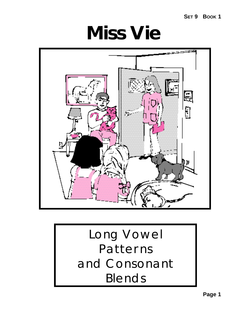**SET 9 BOOK 1**

**Miss Vie**



## Long Vowel Patterns and Consonant Blends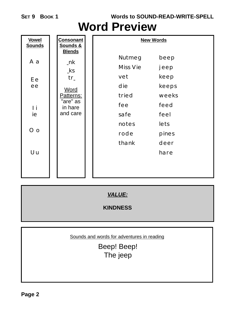**Words to SOUND-READ-WRITE-SPELL**

### **Word Preview**

| <b>Vowel</b><br><b>Sounds</b>       | <b>Consonant</b><br><b>Sounds &amp;</b>                                                                    | <b>New Words</b>                                                                                                                                            |  |  |
|-------------------------------------|------------------------------------------------------------------------------------------------------------|-------------------------------------------------------------------------------------------------------------------------------------------------------------|--|--|
| A a<br>Ee<br>ee<br>I i<br>ie<br>O o | <b>Blends</b><br>$_n$ k<br>$\mathbf{k}$ s<br>$tr_$<br>Word<br>Patterns:<br>"are" as<br>in hare<br>and care | <b>Nutmeg</b><br>beep<br>Miss Vie<br>jeep<br>keep<br>vet<br>die<br>keeps<br>tried<br>weeks<br>fee<br>feed<br>safe<br>feel<br>lets<br>notes<br>rode<br>pines |  |  |
| U <sub>u</sub>                      |                                                                                                            | thank<br>deer<br>hare                                                                                                                                       |  |  |

*VALUE:*

**KINDNESS**

Sounds and words for adventures in reading

Beep! Beep! The jeep

**Page 2**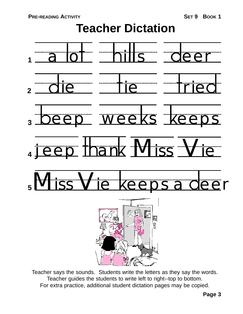## **Teacher Dictation**



Teacher says the sounds. Students write the letters as they say the words. Teacher guides the students to write left to right--top to bottom. For extra practice, additional student dictation pages may be copied.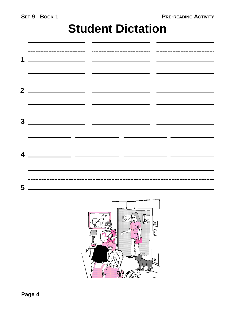### **Student Dictation**

| 1              |                                        |                                                                                                                      |
|----------------|----------------------------------------|----------------------------------------------------------------------------------------------------------------------|
| 2 <sup>1</sup> | -------------------------------------- | <u>e de la componentación de la componentación de la componentación de la componentación de la componentación de</u> |
| 3              |                                        |                                                                                                                      |
| 4              |                                        |                                                                                                                      |
| 5              |                                        |                                                                                                                      |

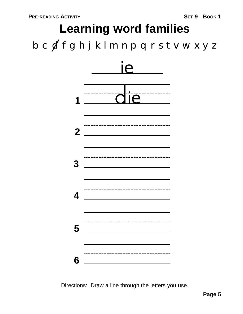# b c  $f$  f g h j k l m n p q r s t v w x y z **Learning word families**



Directions: Draw a line through the letters you use.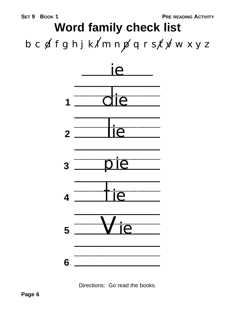# $b c d f g h j k/m n p q r s f x w x y z$ **Word family check list**



Directions: Go read the books.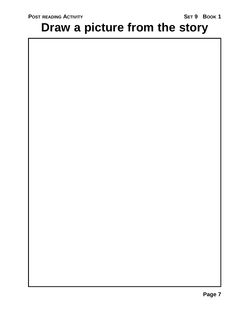## **Draw a picture from the story**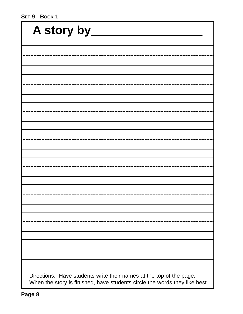#### **SET 9 BOOK 1**

| A story by                                                                                                                                        |  |
|---------------------------------------------------------------------------------------------------------------------------------------------------|--|
|                                                                                                                                                   |  |
|                                                                                                                                                   |  |
|                                                                                                                                                   |  |
|                                                                                                                                                   |  |
|                                                                                                                                                   |  |
|                                                                                                                                                   |  |
|                                                                                                                                                   |  |
|                                                                                                                                                   |  |
|                                                                                                                                                   |  |
|                                                                                                                                                   |  |
|                                                                                                                                                   |  |
|                                                                                                                                                   |  |
|                                                                                                                                                   |  |
|                                                                                                                                                   |  |
|                                                                                                                                                   |  |
|                                                                                                                                                   |  |
|                                                                                                                                                   |  |
|                                                                                                                                                   |  |
|                                                                                                                                                   |  |
|                                                                                                                                                   |  |
|                                                                                                                                                   |  |
|                                                                                                                                                   |  |
| Directions: Have students write their names at the top of the page.<br>When the story is finished, have students circle the words they like best. |  |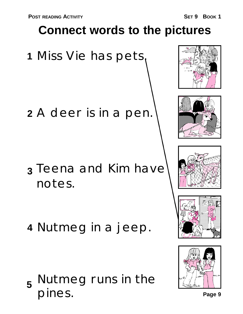## **Connect words to the pictures**

Miss Vie has pets. **1**

A deer is in a pen. **2**

- Teena and Kim have **3** notes.
- Nutmeg in a jeep. **4**

Nutmeg runs in the **5** pines.









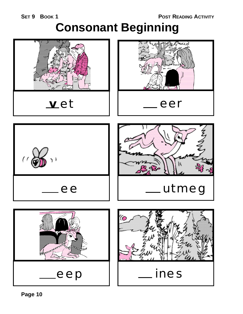**SET 9 BOOK 1**

**POST READING ACTIVITY**

## **Consonant Beginning**

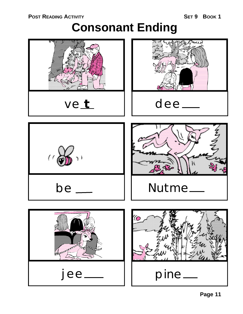### **Consonant Ending**

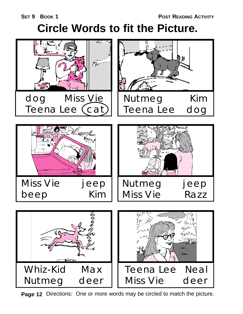## **Circle Words to fit the Picture.**



**Page 12** Directions: One or more words may be circled to match the picture.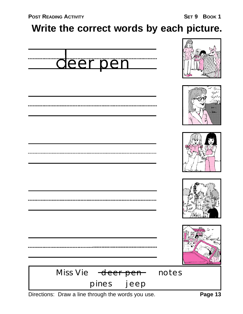### **Write the correct words by each picture.**



Directions: Draw a line through the words you use.